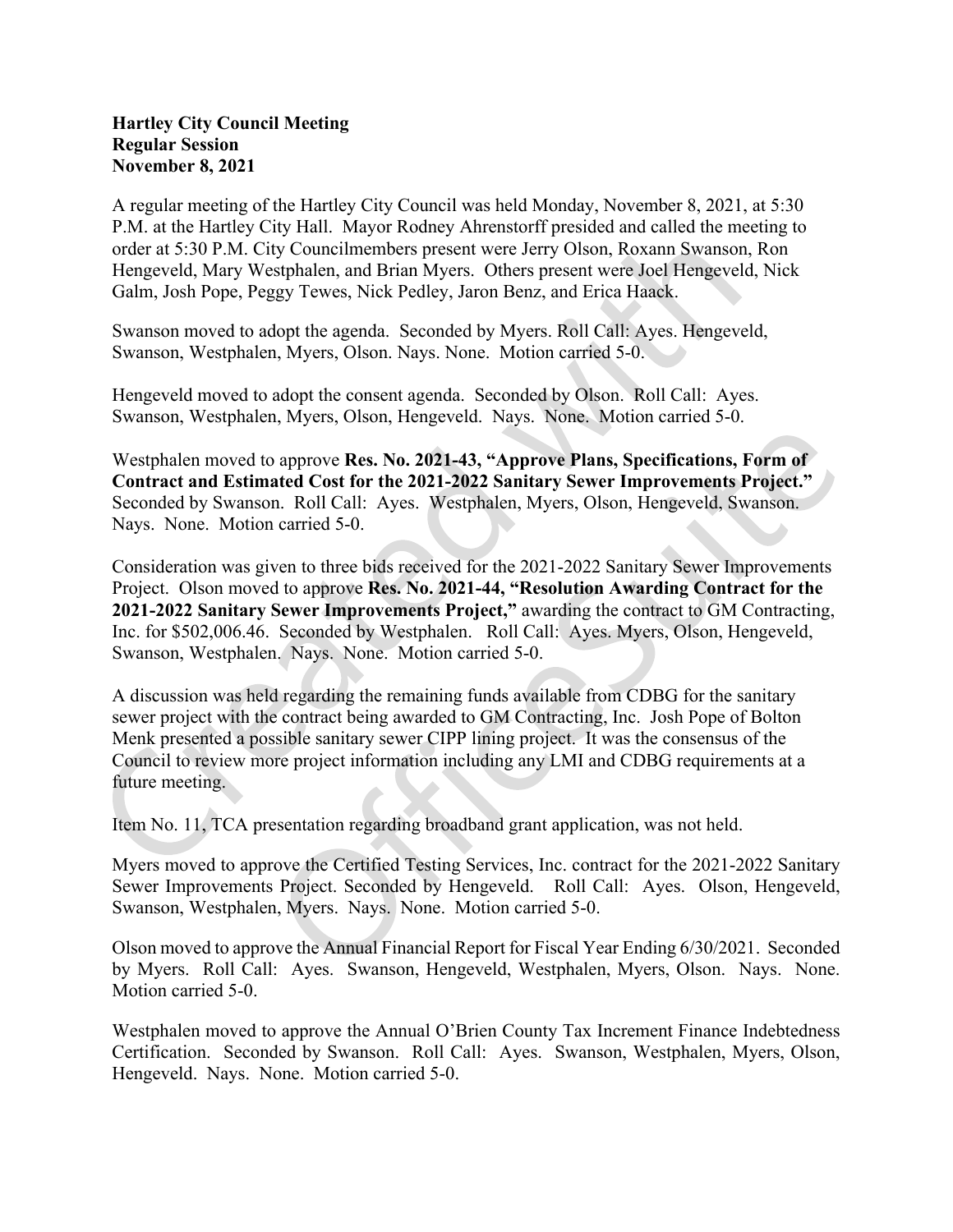## Hartley City Council Meeting Regular Session November 8, 2021

A regular meeting of the Hartley City Council was held Monday, November 8, 2021, at 5:30 P.M. at the Hartley City Hall. Mayor Rodney Ahrenstorff presided and called the meeting to order at 5:30 P.M. City Councilmembers present were Jerry Olson, Roxann Swanson, Ron Hengeveld, Mary Westphalen, and Brian Myers. Others present were Joel Hengeveld, Nick Galm, Josh Pope, Peggy Tewes, Nick Pedley, Jaron Benz, and Erica Haack.

Swanson moved to adopt the agenda. Seconded by Myers. Roll Call: Ayes. Hengeveld, Swanson, Westphalen, Myers, Olson. Nays. None. Motion carried 5-0.

Hengeveld moved to adopt the consent agenda. Seconded by Olson. Roll Call: Ayes. Swanson, Westphalen, Myers, Olson, Hengeveld. Nays. None. Motion carried 5-0.

Westphalen moved to approve Res. No. 2021-43, "Approve Plans, Specifications, Form of Contract and Estimated Cost for the 2021-2022 Sanitary Sewer Improvements Project." Seconded by Swanson. Roll Call: Ayes. Westphalen, Myers, Olson, Hengeveld, Swanson. Nays. None. Motion carried 5-0.

Consideration was given to three bids received for the 2021-2022 Sanitary Sewer Improvements Project. Olson moved to approve Res. No. 2021-44, "Resolution Awarding Contract for the 2021-2022 Sanitary Sewer Improvements Project," awarding the contract to GM Contracting, Inc. for \$502,006.46. Seconded by Westphalen. Roll Call: Ayes. Myers, Olson, Hengeveld, Swanson, Westphalen. Nays. None. Motion carried 5-0.

A discussion was held regarding the remaining funds available from CDBG for the sanitary sewer project with the contract being awarded to GM Contracting, Inc. Josh Pope of Bolton Menk presented a possible sanitary sewer CIPP lining project. It was the consensus of the Council to review more project information including any LMI and CDBG requirements at a future meeting.<br>Item No. 11, TCA presentation regarding broadband grant application, was not held.

Myers moved to approve the Certified Testing Services, Inc. contract for the 2021-2022 Sanitary Sewer Improvements Project. Seconded by Hengeveld. Roll Call: Ayes. Olson, Hengeveld, Swanson, Westphalen, Myers. Nays. None. Motion carried 5-0.

Olson moved to approve the Annual Financial Report for Fiscal Year Ending 6/30/2021. Seconded by Myers. Roll Call: Ayes. Swanson, Hengeveld, Westphalen, Myers, Olson. Nays. None. Motion carried 5-0.

Westphalen moved to approve the Annual O'Brien County Tax Increment Finance Indebtedness Certification. Seconded by Swanson. Roll Call: Ayes. Swanson, Westphalen, Myers, Olson, Hengeveld. Nays. None. Motion carried 5-0.